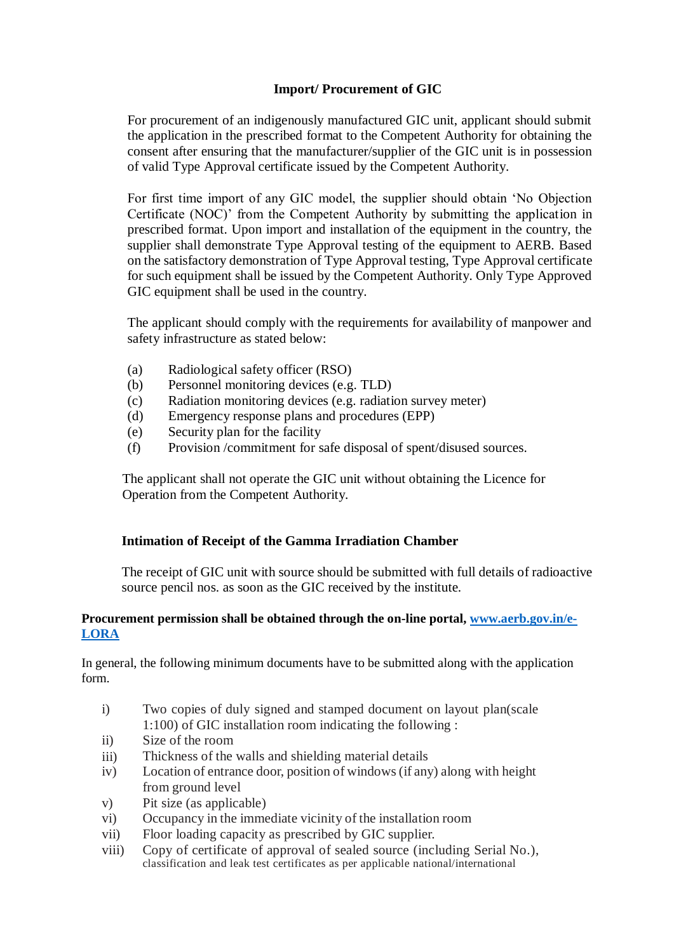## **Import/ Procurement of GIC**

For procurement of an indigenously manufactured GIC unit, applicant should submit the application in the prescribed format to the Competent Authority for obtaining the consent after ensuring that the manufacturer/supplier of the GIC unit is in possession of valid Type Approval certificate issued by the Competent Authority.

For first time import of any GIC model, the supplier should obtain 'No Objection Certificate (NOC)' from the Competent Authority by submitting the application in prescribed format. Upon import and installation of the equipment in the country, the supplier shall demonstrate Type Approval testing of the equipment to AERB. Based on the satisfactory demonstration of Type Approval testing, Type Approval certificate for such equipment shall be issued by the Competent Authority. Only Type Approved GIC equipment shall be used in the country.

The applicant should comply with the requirements for availability of manpower and safety infrastructure as stated below:

- (a) Radiological safety officer (RSO)
- (b) Personnel monitoring devices (e.g. TLD)
- (c) Radiation monitoring devices (e.g. radiation survey meter)
- (d) Emergency response plans and procedures (EPP)
- (e) Security plan for the facility
- (f) Provision /commitment for safe disposal of spent/disused sources.

The applicant shall not operate the GIC unit without obtaining the Licence for Operation from the Competent Authority.

## **Intimation of Receipt of the Gamma Irradiation Chamber**

The receipt of GIC unit with source should be submitted with full details of radioactive source pencil nos. as soon as the GIC received by the institute.

## **Procurement permission shall be obtained through the on-line portal, [www.aerb.gov.in/e-](http://www.aerb.gov.in/e-LORA)[LORA](http://www.aerb.gov.in/e-LORA)**

In general, the following minimum documents have to be submitted along with the application form.

- i) Two copies of duly signed and stamped document on layout plan(scale 1:100) of GIC installation room indicating the following :
- ii) Size of the room
- iii) Thickness of the walls and shielding material details
- iv) Location of entrance door, position of windows(if any) along with height from ground level
- v) Pit size (as applicable)
- vi) Occupancy in the immediate vicinity of the installation room
- vii) Floor loading capacity as prescribed by GIC supplier.
- viii) Copy of certificate of approval of sealed source (including Serial No.), classification and leak test certificates as per applicable national/international